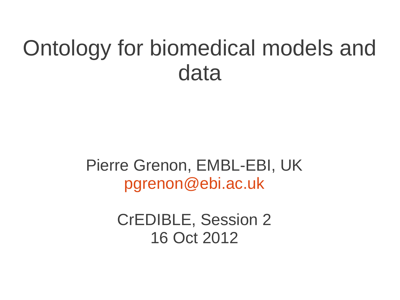### Ontology for biomedical models and data

Pierre Grenon, EMBL-EBI, UK [pgrenon@ebi.ac.uk](mailto:pgrenon@ebi.ac.uk)

> CrEDIBLE, Session 2 16 Oct 2012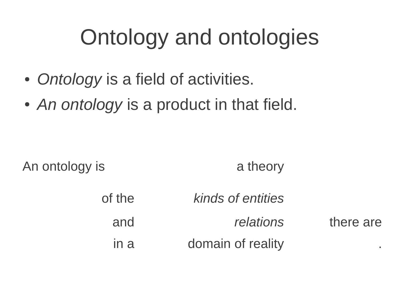## Ontology and ontologies

- *Ontology* is a field of activities.
- An ontology is a product in that field.

An ontology is a theory

of the *kinds of entities* and *relations* there are in a domain of reality the contract of the contract of reality and  $\alpha$ .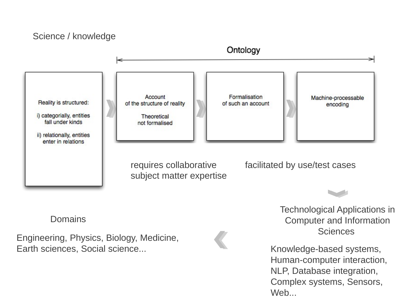#### Science / knowledge



NLP, Database integration, Complex systems, Sensors, Web...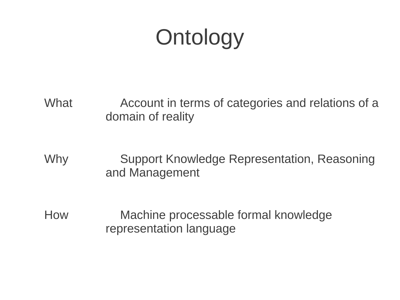## **Ontology**

What Account in terms of categories and relations of a domain of reality

Why Support Knowledge Representation, Reasoning and Management

How Machine processable formal knowledge representation language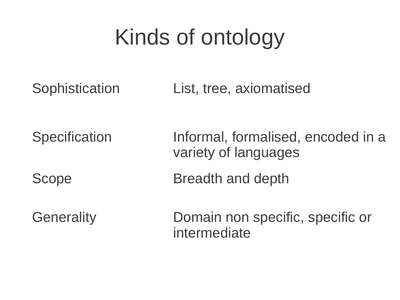## Kinds of ontology

Sophistication List, tree, axiomatised

Specification Informal, formalised, encoded in a variety of languages Scope Breadth and depth

Generality Domain non specific, specific or intermediate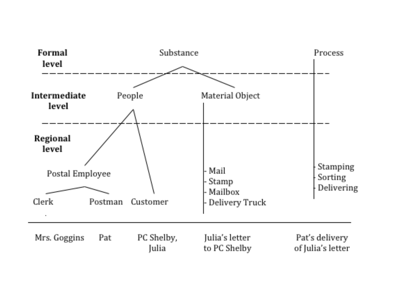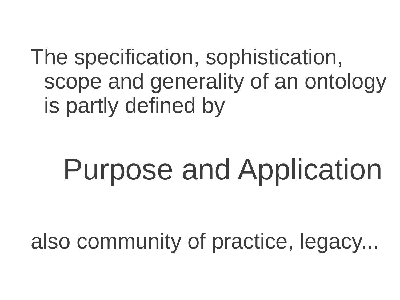The specification, sophistication, scope and generality of an ontology is partly defined by

# Purpose and Application

also community of practice, legacy...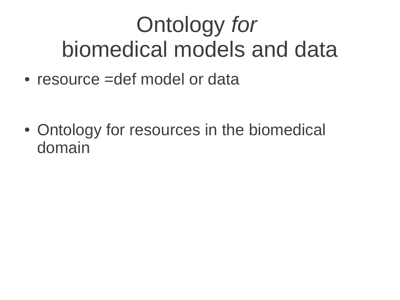### Ontology *for*  biomedical models and data

 $\bullet$  resource =def model or data

• Ontology for resources in the biomedical domain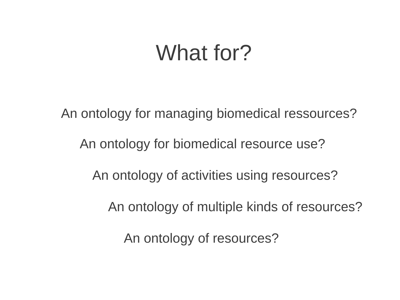### What for?

An ontology for managing biomedical ressources? An ontology of activities using resources? An ontology for biomedical resource use? An ontology of multiple kinds of resources? An ontology of resources?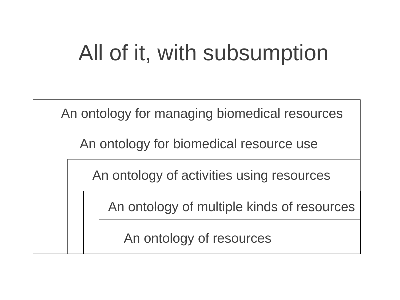### All of it, with subsumption

An ontology for managing biomedical resources

An ontology for biomedical resource use

An ontology of activities using resources

An ontology of multiple kinds of resources

An ontology of resources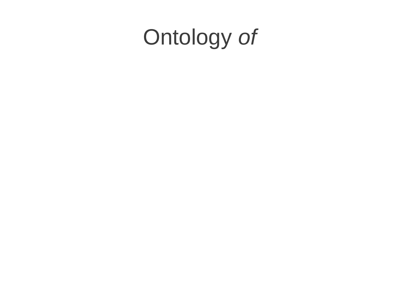## Ontology *of*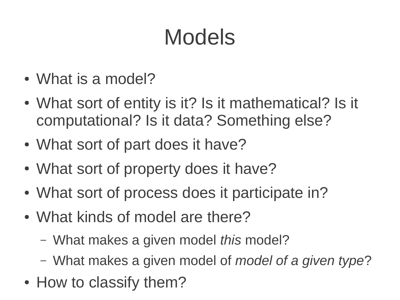## Models

- What is a model?
- What sort of entity is it? Is it mathematical? Is it computational? Is it data? Something else?
- What sort of part does it have?
- What sort of property does it have?
- What sort of process does it participate in?
- What kinds of model are there?
	- What makes a given model *this* model?
	- What makes a given model of *model of a given type*?
- How to classify them?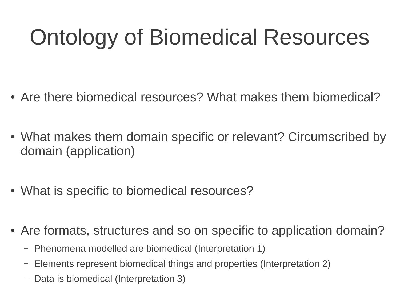## Ontology of Biomedical Resources

- Are there biomedical resources? What makes them biomedical?
- What makes them domain specific or relevant? Circumscribed by domain (application)
- What is specific to biomedical resources?
- Are formats, structures and so on specific to application domain?
	- Phenomena modelled are biomedical (Interpretation 1)
	- Elements represent biomedical things and properties (Interpretation 2)
	- Data is biomedical (Interpretation 3)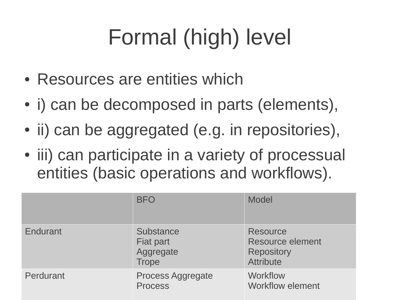## Formal (high) level

- Resources are entities which
- i) can be decomposed in parts (elements),
- ii) can be aggregated (e.g. in repositories),
- iii) can participate in a variety of processual entities (basic operations and workflows).

|           | <b>BFO</b>                                                 | <b>Model</b>                                                                        |
|-----------|------------------------------------------------------------|-------------------------------------------------------------------------------------|
| Endurant  | <b>Substance</b><br>Fiat part<br>Aggregate<br><b>Trope</b> | <b>Resource</b><br><b>Resource element</b><br><b>Repository</b><br><b>Attribute</b> |
| Perdurant | <b>Process Aggregate</b><br><b>Process</b>                 | Workflow<br><b>Workflow element</b>                                                 |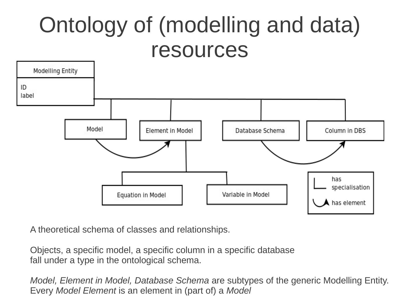### Ontology of (modelling and data) resources



A theoretical schema of classes and relationships.

Objects, a specific model, a specific column in a specific database fall under a type in the ontological schema.

*Model, Element in Model, Database Schema* are subtypes of the generic Modelling Entity. Every *Model Element* is an element in (part of) a *Model*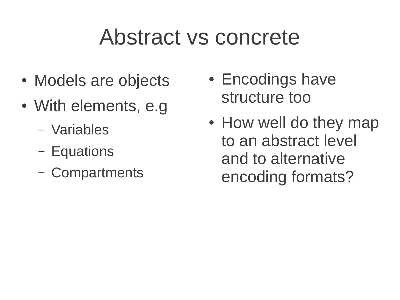### Abstract vs concrete

- Models are objects
- With elements, e.g.
	- Variables
	- Equations
	- Compartments
- Encodings have structure too
- How well do they map to an abstract level and to alternative encoding formats?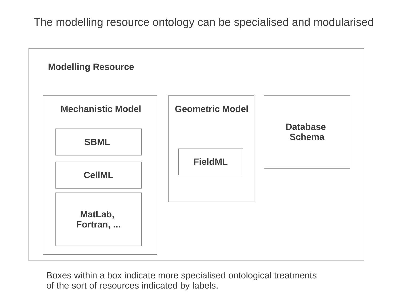The modelling resource ontology can be specialised and modularised



Boxes within a box indicate more specialised ontological treatments of the sort of resources indicated by labels.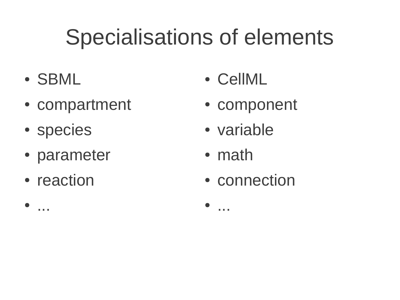## Specialisations of elements

- SBML
- compartment
- species
- parameter
- reaction

● ...

- CellML
- component
- variable
- math

● ...

• connection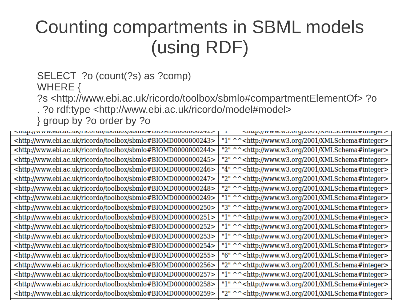### Counting compartments in SBML models (using RDF)

#### SELECT ?o (count(?s) as ?comp)

WHERE {

?s <http://www.ebi.ac.uk/ricordo/toolbox/sbmlo#compartmentElementOf> ?o . ?o rdf:type <http://www.ebi.ac.uk/ricordo/model#model>

} group by ?o order by ?o

| $\sim$ ныр $\eta$ w w w.enr.ac.ur/ricural/hormov/sminium.nr.ac.ur/nr.ac.ur/s=s  | $\sim$ пар.// www.wo.org/2001/APILoonema $\pi$ meger              |
|---------------------------------------------------------------------------------|-------------------------------------------------------------------|
| <http: ricordo="" sbmlo#biomd0000000243="" toolbox="" www.ebi.ac.uk=""></http:> | "1" ^^ <http: 2001="" www.w3.org="" xmlschema#integer=""></http:> |
| <http: ricordo="" sbmlo#biomd000000244="" toolbox="" www.ebi.ac.uk=""></http:>  | "2" ^^ <http: 2001="" www.w3.org="" xmlschema#integer=""></http:> |
| <http: ricordo="" sbmlo#biomd0000000245="" toolbox="" www.ebi.ac.uk=""></http:> | "2" ^^ <http: 2001="" www.w3.org="" xmlschema#integer=""></http:> |
| <http: ricordo="" sbmlo#biomd000000246="" toolbox="" www.ebi.ac.uk=""></http:>  | "4" ^^ <http: 2001="" www.w3.org="" xmlschema#integer=""></http:> |
| <http: ricordo="" sbmlo#biomd000000247="" toolbox="" www.ebi.ac.uk=""></http:>  | "2" ^^ <http: 2001="" www.w3.org="" xmlschema#integer=""></http:> |
| <http: ricordo="" sbmlo#biomd000000248="" toolbox="" www.ebi.ac.uk=""></http:>  | "2" ^^ <http: 2001="" www.w3.org="" xmlschema#integer=""></http:> |
| <http: ricordo="" sbmlo#biomd000000249="" toolbox="" www.ebi.ac.uk=""></http:>  | "1" ^^ <http: 2001="" www.w3.org="" xmlschema#integer=""></http:> |
| <http: ricordo="" sbmlo#biomd0000000250="" toolbox="" www.ebi.ac.uk=""></http:> | "3" ^^ <http: 2001="" www.w3.org="" xmlschema#integer=""></http:> |
| <http: ricordo="" sbmlo#biomd0000000251="" toolbox="" www.ebi.ac.uk=""></http:> | "1" ^^ <http: 2001="" www.w3.org="" xmlschema#integer=""></http:> |
| <http: ricordo="" sbmlo#biomd0000000252="" toolbox="" www.ebi.ac.uk=""></http:> | "1" ^^ <http: 2001="" www.w3.org="" xmlschema#integer=""></http:> |
| <http: ricordo="" sbmlo#biomd0000000253="" toolbox="" www.ebi.ac.uk=""></http:> | "1" ^^ <http: 2001="" www.w3.org="" xmlschema#integer=""></http:> |
| <http: ricordo="" sbmlo#biomd0000000254="" toolbox="" www.ebi.ac.uk=""></http:> | "1" ^^ <http: 2001="" www.w3.org="" xmlschema#integer=""></http:> |
| <http: ricordo="" sbmlo#biomd0000000255="" toolbox="" www.ebi.ac.uk=""></http:> | "6" ^^ <http: 2001="" www.w3.org="" xmlschema#integer=""></http:> |
| <http: ricordo="" sbmlo#biomd0000000256="" toolbox="" www.ebi.ac.uk=""></http:> | "2" ^^ <http: 2001="" www.w3.org="" xmlschema#integer=""></http:> |
| <http: ricordo="" sbmlo#biomd0000000257="" toolbox="" www.ebi.ac.uk=""></http:> | "1" ^^ <http: 2001="" www.w3.org="" xmlschema#integer=""></http:> |
| <http: ricordo="" sbmlo#biomd0000000258="" toolbox="" www.ebi.ac.uk=""></http:> | "1" ^^ <http: 2001="" www.w3.org="" xmlschema#integer=""></http:> |
| <http: ricordo="" sbmlo#biomd0000000259="" toolbox="" www.ebi.ac.uk=""></http:> | "2" ^^ <http: 2001="" www.w3.org="" xmlschema#integer=""></http:> |
|                                                                                 |                                                                   |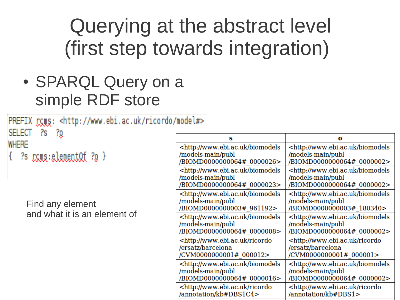### Querying at the abstract level (first step towards integration)

• SPARQL Query on a simple RDF store

PREFIX rcms: <http://www.ebi.ac.uk/ricordo/model#> SELECT ?s ?o

**WHERE** 

 $\{$  ?s  $_{\text{CCUE}}:\text{element}$   $\Omega$  ?q  $\}$ 

Find any element and what it is an element of

| s                                                                                                                 |                                                      |
|-------------------------------------------------------------------------------------------------------------------|------------------------------------------------------|
| <http: biomodels<="" td="" www.ebi.ac.uk=""><td><http: biomodels<="" td="" www.ebi.ac.uk=""></http:></td></http:> | <http: biomodels<="" td="" www.ebi.ac.uk=""></http:> |
| /models-main/publ                                                                                                 | /models-main/publ                                    |
| /BIOMD0000000064# 0000026>                                                                                        | /BIOMD0000000064#0000002>                            |
| <http: biomodels<="" td="" www.ebi.ac.uk=""><td><http: biomodels<="" td="" www.ebi.ac.uk=""></http:></td></http:> | <http: biomodels<="" td="" www.ebi.ac.uk=""></http:> |
| /models-main/publ                                                                                                 | /models-main/publ                                    |
| /BIOMD0000000064# 0000023>                                                                                        | /BIOMD0000000064# 0000002>                           |
| <http: biomodels<="" td="" www.ebi.ac.uk=""><td><http: biomodels<="" td="" www.ebi.ac.uk=""></http:></td></http:> | <http: biomodels<="" td="" www.ebi.ac.uk=""></http:> |
| /models-main/publ                                                                                                 | /models-main/publ                                    |
| /BIOMD0000000003# 961192>                                                                                         | /BIOMD0000000003# 180340>                            |
| <http: biomodels<="" td="" www.ebi.ac.uk=""><td><http: biomodels<="" td="" www.ebi.ac.uk=""></http:></td></http:> | <http: biomodels<="" td="" www.ebi.ac.uk=""></http:> |
| /models-main/publ                                                                                                 | /models-main/publ                                    |
| /BIOMD0000000064# 0000008>                                                                                        | /BIOMD0000000064# 0000002>                           |
| <http: ricordo<="" td="" www.ebi.ac.uk=""><td>http://www.ebi.ac.uk/ricordo=</td></http:>                          | http://www.ebi.ac.uk/ricordo=                        |
| /ersatz/barcelona                                                                                                 | /ersatz/barcelona                                    |
| /CVM0000000001# 000012>                                                                                           | /CVM0000000001# 000001>                              |
| <http: biomodels<="" td="" www.ebi.ac.uk=""><td><http: biomodels<="" td="" www.ebi.ac.uk=""></http:></td></http:> | <http: biomodels<="" td="" www.ebi.ac.uk=""></http:> |
| /models-main/publ                                                                                                 | /models-main/publ                                    |
| /BIOMD0000000064# 0000016>                                                                                        | /BIOMD0000000064# 0000002>                           |
| <http: ricordo<="" td="" www.ebi.ac.uk=""><td><http: ricordo<="" td="" www.ebi.ac.uk=""></http:></td></http:>     | <http: ricordo<="" td="" www.ebi.ac.uk=""></http:>   |
| /annotation/kb#DBS1C4>                                                                                            | /annotation/kb#DBS1>                                 |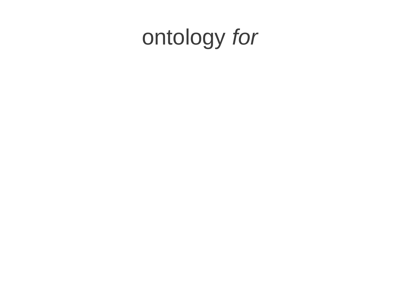## ontology *for*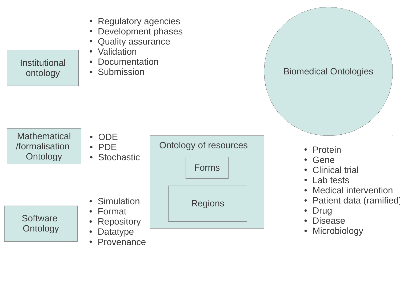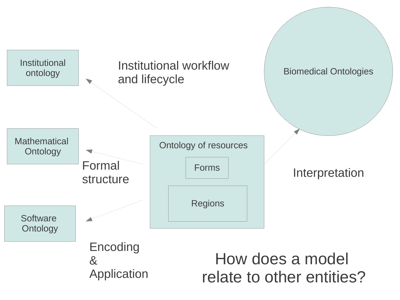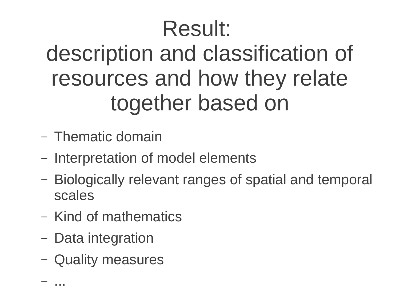### Result: description and classification of resources and how they relate together based on

- Thematic domain
- Interpretation of model elements
- Biologically relevant ranges of spatial and temporal scales
- Kind of mathematics
- Data integration

– ...

– Quality measures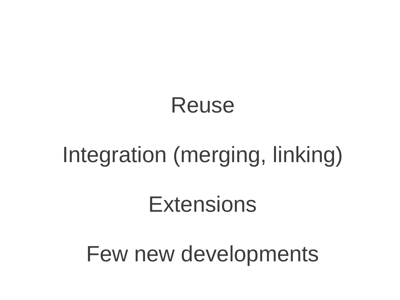### Few new developments

### **Extensions**

### Integration (merging, linking)

### Reuse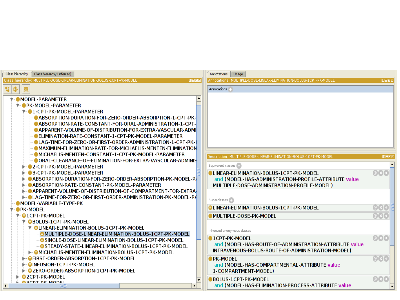| Class hierarchy |                 | Class hierarchy (inferred)                                      |              | Annotations<br>Usage                                              |                     |  |
|-----------------|-----------------|-----------------------------------------------------------------|--------------|-------------------------------------------------------------------|---------------------|--|
|                 | Class hierarchv | MULTIPLE-DOSE-LINEAR-ELIMINATION-BOLUS-1CPT-PK-MODEL            | <b>DHOM</b>  | Annotations: MULTIPLE-DOSE-LINEAR-ELIMINATION-BOLUS-1CPT-PK-MODEL | <b>DBO®</b>         |  |
| 법.              |                 |                                                                 |              | Annotations                                                       |                     |  |
|                 |                 | <b>WODEL-PARAMETER</b>                                          |              |                                                                   |                     |  |
|                 |                 | <b>V-OPK-MODEL-PARAMETER</b>                                    |              |                                                                   |                     |  |
|                 |                 | V-01-CPT-PK-MODEL-PARAMETER                                     |              |                                                                   |                     |  |
|                 |                 | ABSORPTION-DURATION-FOR-ZERO-ORDER-ABSORPTION-1-CPT-PK-         |              |                                                                   |                     |  |
|                 |                 | <b>CABSORPTION-RATE-CONSTANT-FOR-ORAL-ADMINISTRATION-1-CPT-</b> |              |                                                                   |                     |  |
|                 |                 | APPARENT-VOLUME-OF-DISTRIBUTION-FOR-EXTRA-VASCULAR-ADMI         |              |                                                                   |                     |  |
|                 |                 | <b>CELIMINATION-RATE-CONSTANT-1-CPT-PK-MODEL-PARAMETER</b>      |              |                                                                   |                     |  |
|                 |                 | LAG-TIME-FOR-ZERO-OR-FIRST-ORDER-ADMINISTRATION-1-CPT-PK-I•     |              |                                                                   |                     |  |
|                 |                 | MAXIMUM-ELIMINATION-RATE-FOR-MICHAELIS-MENTEN-ELIMINATION∍      |              |                                                                   |                     |  |
|                 |                 | MICHAELIS-MENTEN-CONSTANT-1-CPT-PK-MODEL-PARAMETER              |              | Description: MULTIPLE-DOSE-LINEAR-ELIMINATION-BOLUS-1CPT-PK-MODEL | <b>DBOX</b>         |  |
|                 |                 | ORAL-CLEARANCE-OF-ELIMINATION-FOR-EXTRA-VASCULAR-ADMINIS        |              |                                                                   |                     |  |
|                 |                 | <b>E-2-CPT-PK-MODEL-PARAMETER</b>                               |              | Equivalent classes                                                |                     |  |
|                 |                 | <b>B-03-CPT-PK-MODEL-PARAMETER</b>                              |              | <b>LINEAR-ELIMINATION-BOLUS-1CPT-PK-MODEL</b>                     | $\odot$ x $\odot$   |  |
|                 |                 | ABSORPTION-DURATION-FOR-ZERO-ORDER-ABSORPTION-PK-MODEL-P        |              | and (MODEL-HAS-ADMINISTRATION-PROFILE-ATTRIBUTE value             |                     |  |
|                 |                 | ABSORPTION-RATE-CONSTANT-PK-MODEL-PARAMETER                     |              | MULTIPLE-DOSE-ADMINISTRATION-PROFILE-MODEL)                       |                     |  |
|                 |                 | APPARENT-VOLUME-OF-DISTRIBUTION-OF-COMPARTMENT-FOR-EXTRA        |              |                                                                   |                     |  |
|                 |                 | Le LAG-TIME-FOR-ZERO-OR-FIRST-ORDER-ADMINISTRATION-PK-MODEL-PA  |              | Superclasses ( ;                                                  |                     |  |
|                 |                 | <b>MODEL-VARIABLE-TYPE-PK</b>                                   |              | <b>OLINEAR-ELIMINATION-BOLUS-1CPT-PK-MODEL</b>                    | $\odot$ x $\odot$   |  |
|                 |                 | <b>▼ PK-MODEL</b><br>V- <b>O</b> 1CPT-PK-MODEL                  |              |                                                                   |                     |  |
|                 |                 | V-BBOLUS-1CPT-PK-MODEL                                          |              | <b>MULTIPLE-DOSE-PK-MODEL</b>                                     | $\odot$ (x) $\odot$ |  |
|                 |                 | <b>WE BLINEAR-ELIMINATION-BOLUS-1CPT-PK-MODEL</b>               |              |                                                                   |                     |  |
|                 |                 | MULTIPLE-DOSE-LINEAR-ELIMINATION-BOLUS-1CPT-PK-MODEL            |              | Inherited anonymous classes                                       |                     |  |
|                 |                 | - ● SINGLE-DOSE-LINEAR-ELIMINATION-BOLUS-1CPT-PK-MODEL          |              | <b>1CPT-PK-MODEL</b>                                              | $\odot$ (x) $\odot$ |  |
|                 |                 | <b>GSTEADY-STATE-LINEAR-ELIMINATION-BOLUS-1CPT-PK-MODEL</b>     |              | and (MODEL-HAS-ROUTE-OF-ADMINISTRATION-ATTRIBUTE value            |                     |  |
|                 |                 | <b>E B MICHAELIS-MENTEN-ELIMINATION-BOLUS-1CPT-PK-MODEL</b>     |              | INTRAVENOUS-BOLUS-ROUTE-OF-ADMINISTRATION-MODEL)                  |                     |  |
|                 |                 | <b>E-BEIRST-ORDER-ABSORPTION-1CPT-PK-MODEL</b>                  |              | <b>PK MODEL</b>                                                   | @80                 |  |
|                 |                 | <b>E-BINFUSION-1CPT-PK-MODEL</b>                                |              | and (MODEL-HAS-COMPARTMENTAL-ATTRIBUTE value                      |                     |  |
|                 |                 | E 2ERO ORDER ABSORPTION 1CPT PK MODEL                           |              | 1-COMPARTMENT-MODEL)                                              |                     |  |
|                 |                 | <b>E-B2CPT-PK-MODEL</b>                                         |              | <b>BOLUS-1CPT-PK-MODEL</b>                                        | $\odot$ (x) $\odot$ |  |
|                 |                 | <b>A2CDT DK MODEL</b>                                           |              |                                                                   |                     |  |
| $\blacksquare$  |                 |                                                                 | $\mathbf{F}$ | and (MODEL-HAS-ELIMINATION-PROCESS-ATTRIBUTE value                |                     |  |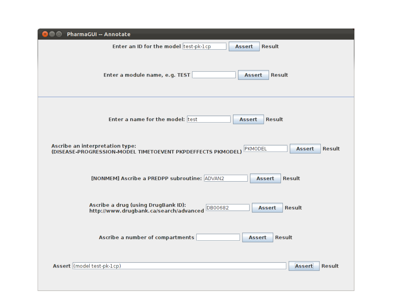| <b>PharmaGUI -- Annotate</b><br>$\blacksquare$                                                                                              |
|---------------------------------------------------------------------------------------------------------------------------------------------|
| Enter an ID for the model test-pk-1cp<br><b>Result</b><br><b>Assert</b>                                                                     |
| Enter a module name, e.g. TEST<br><b>Result</b><br>Assert                                                                                   |
| Enter a name for the model: test<br><b>Result</b><br>Assert                                                                                 |
| Ascribe an interpretation type:<br>PKMODEL<br><b>Result</b><br><b>Assert</b><br>(DISEASE-PROGRESSION-MODEL TIMETOEVENT PKPDEFFECTS PKMODEL) |
| [NONMEM] Ascribe a PREDPP subroutine: ADVAN2<br><b>Result</b><br><b>Assert</b>                                                              |
| Ascribe a drug (using DrugBank ID):<br>DB00682<br><b>Result</b><br><b>Assert</b><br>http://www.drugbank.ca/search/advanced                  |
| Ascribe a number of compartments<br><b>Result</b><br><b>Assert</b>                                                                          |
| Assert (model test-pk-1cp)<br><b>Assert</b><br><b>Result</b>                                                                                |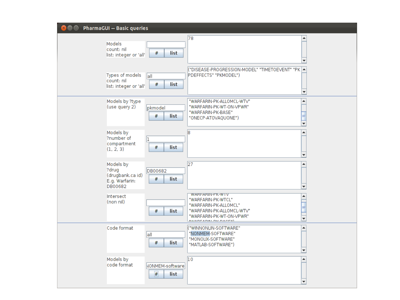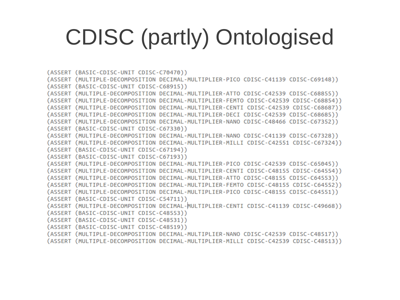## CDISC (partly) Ontologised

(ASSERT (BASIC-CDISC-UNIT CDISC-C70470)) (ASSERT (MULTIPLE-DECOMPOSITION DECIMAL-MULTIPLIER-PICO CDISC-C41139 CDISC-C69148)) (ASSERT (BASIC-CDISC-UNIT CDISC-C68915)) (ASSERT (MULTIPLE-DECOMPOSITION DECIMAL-MULTIPLIER-ATTO CDISC-C42539 CDISC-C68855)) (ASSERT (MULTIPLE-DECOMPOSITION DECIMAL-MULTIPLIER-FEMTO CDISC-C42539 CDISC-C68854)) (ASSERT (MULTIPLE-DECOMPOSITION DECIMAL-MULTIPLIER-CENTI CDISC-C42539 CDISC-C68687)) (ASSERT (MULTIPLE-DECOMPOSITION DECIMAL-MULTIPLIER-DECI CDISC-C42539 CDISC-C68685)) (ASSERT (MULTIPLE-DECOMPOSITION DECIMAL-MULTIPLIER-NANO CDISC-C48466 CDISC-C67352)) (ASSERT (BASIC-CDISC-UNIT CDISC-C67330)) (ASSERT (MULTIPLE-DECOMPOSITION DECIMAL-MULTIPLIER-NANO CDISC-C41139 CDISC-C67328)) (ASSERT (MULTIPLE-DECOMPOSITION DECIMAL-MULTIPLIER-MILLI CDISC-C42551 CDISC-C67324)) (ASSERT (BASIC-CDISC-UNIT CDISC-C67194)) (ASSERT (BASIC-CDISC-UNIT CDISC-C67193)) (ASSERT (MULTIPLE-DECOMPOSITION DECIMAL-MULTIPLIER-PICO CDISC-C42539 CDISC-C65045)) (ASSERT (MULTIPLE-DECOMPOSITION DECIMAL-MULTIPLIER-CENTI CDISC-C48155 CDISC-C64554)) (ASSERT (MULTIPLE-DECOMPOSITION DECIMAL-MULTIPLIER-ATTO CDISC-C48155 CDISC-C64553)) (ASSERT (MULTIPLE-DECOMPOSITION DECIMAL-MULTIPLIER-FEMTO CDISC-C48155 CDISC-C64552)) (ASSERT (MULTIPLE-DECOMPOSITION DECIMAL-MULTIPLIER-PICO CDISC-C48155 CDISC-C64551)) (ASSERT (BASIC-CDISC-UNIT CDISC-C54711)) (ASSERT (MULTIPLE-DECOMPOSITION DECIMAL-MULTIPLIER-CENTI CDISC-C41139 CDISC-C49668)) (ASSERT (BASIC-CDISC-UNIT CDISC-C48553)) (ASSERT (BASIC-CDISC-UNIT CDISC-C48531)) (ASSERT (BASIC-CDISC-UNIT CDISC-C48519)) (ASSERT (MULTIPLE-DECOMPOSITION DECIMAL-MULTIPLIER-NANO CDISC-C42539 CDISC-C48517))

(ASSERT (MULTIPLE-DECOMPOSITION DECIMAL-MULTIPLIER-MILLI CDISC-C42539 CDISC-C48513))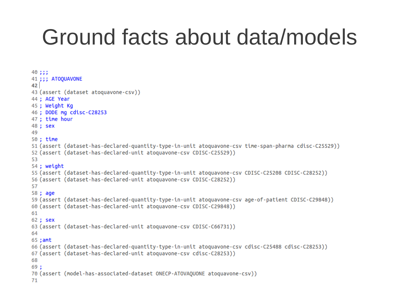### Ground facts about data/models

```
40:::41 ::: ATOOUAVONE
4243 (assert (dataset atoquavone-csv))
44 : AGE Year
45 : Weight Kg
46 ; DODE mg cdisc-C28253
47 : time hour
48 : sex
49
50:time51 (assert (dataset-has-declared-quantity-type-in-unit atoquavone-csv time-span-pharma cdisc-C25529))
52 (assert (dataset-has-declared-unit atoquavone-csy CDISC-C25529))
53
54 : weight
55 (assert (dataset-has-declared-quantity-type-in-unit atoquayone-csy CDISC-C25208 CDISC-C28252))
56 (assert (dataset-has-declared-unit atoquavone-csy CDISC-C28252))
57
58 : age
59 (assert (dataset-has-declared-quantity-type-in-unit atoquavone-csv age-of-patient CDISC-C29848))
60 (assert (dataset-has-declared-unit atoquavone-csy CDISC-C29848))
61
62 : sex
63 (assert (dataset-has-declared-unit atoquavone-csv CDISC-C66731))
64
65: amt
66 (assert (dataset-has-declared-quantity-type-in-unit atoquavone-csv cdisc-C25488 cdisc-C28253))
67 (assert (dataset-has-declared-unit atoguavone-csy cdisc-C28253))
68
69 :
70 (assert (model-has-associated-dataset ONECP-ATOVAQUONE atoquavone-csv))
71
```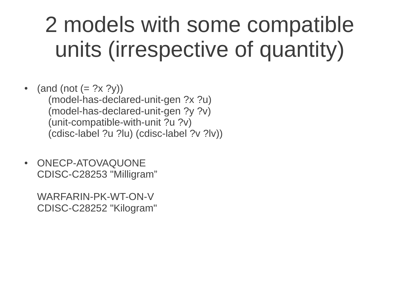## 2 models with some compatible units (irrespective of quantity)

(and (not  $(= ? \times ? \gamma)$ ) (model-has-declared-unit-gen ?x ?u) (model-has-declared-unit-gen ?y ?v) (unit-compatible-with-unit ?u ?v) (cdisc-label ?u ?lu) (cdisc-label ?v ?lv))

• ONECP-ATOVAQUONE CDISC-C28253 "Milligram"

WARFARIN-PK-WT-ON-V CDISC-C28252 "Kilogram"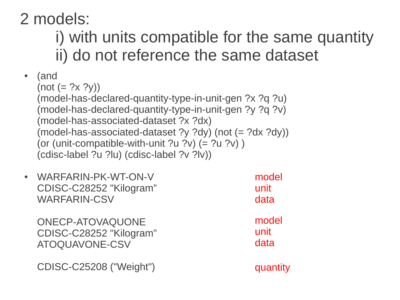#### 2 models:

### i) with units compatible for the same quantity ii) do not reference the same dataset

- $(and)$  $(not (= ?x ?y))$ (model-has-declared-quantity-type-in-unit-gen ?x ?q ?u) (model-has-declared-quantity-type-in-unit-gen ?y ?q ?v) (model-has-associated-dataset ?x ?dx) (model-has-associated-dataset ?y ?dy) (not (= ?dx ?dy)) (or (unit-compatible-with-unit ?u ?v)  $(= ?u ?v)$ ) (cdisc-label ?u ?lu) (cdisc-label ?v ?lv))
- WARFARIN-PK-WT-ON-V CDISC-C28252 "Kilogram" WARFARIN-CSV model unit data

ONECP-ATOVAQUONE CDISC-C28252 "Kilogram" ATOQUAVONE-CSV

CDISC-C25208 ("Weight")

model unit data

quantity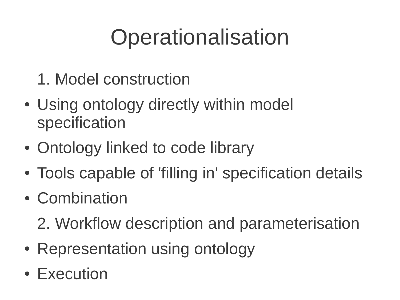## **Operationalisation**

- 1. Model construction
- Using ontology directly within model specification
- Ontology linked to code library
- Tools capable of 'filling in' specification details
- Combination
	- 2. Workflow description and parameterisation
- Representation using ontology
- Execution